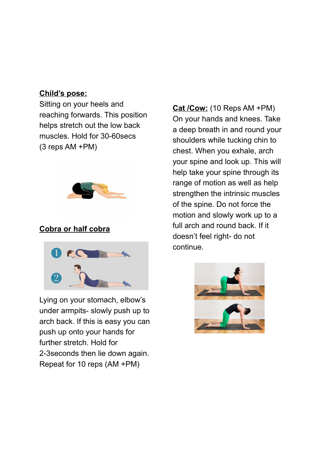## **Child's pose:**

Sitting on your heels and reaching forwards. This position helps stretch out the low back muscles. Hold for 30-60secs (3 reps AM +PM)



# **Cobra or half cobra**



Lying on your stomach, elbow's under armpits- slowly push up to arch back. If this is easy you can push up onto your hands for further stretch. Hold for 2-3seconds then lie down again. Repeat for 10 reps (AM +PM)

**Cat /Cow:** (10 Reps AM +PM) On your hands and knees. Take a deep breath in and round your shoulders while tucking chin to chest. When you exhale, arch your spine and look up. This will help take your spine through its range of motion as well as help strengthen the intrinsic muscles of the spine. Do not force the motion and slowly work up to a full arch and round back. If it doesn't feel right- do not continue.